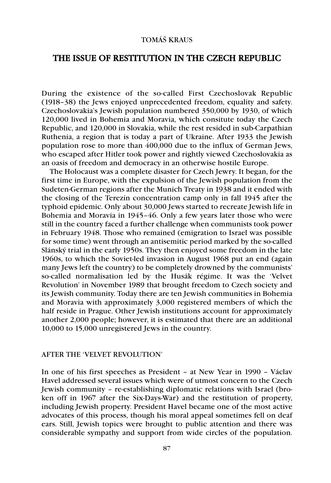# TOMÁŠ KRAUS

# THE ISSUE OF RESTITUTION IN THE CZECH REPUBLIC

During the existence of the so-called First Czechoslovak Republic (1918–38) the Jews enjoyed unprecedented freedom, equality and safety. Czechoslovakia's Jewish population numbered 350,000 by 1930, of which 120,000 lived in Bohemia and Moravia, which consitute today the Czech Republic, and 120,000 in Slovakia, while the rest resided in sub-Carpathian Ruthenia, a region that is today a part of Ukraine. After 1933 the Jewish population rose to more than 400,000 due to the influx of German Jews, who escaped after Hitler took power and rightly viewed Czechoslovakia as an oasis of freedom and democracy in an otherwise hostile Europe.

The Holocaust was a complete disaster for Czech Jewry. It began, for the first time in Europe, with the expulsion of the Jewish population from the Sudeten-German regions after the Munich Treaty in 1938 and it ended with the closing of the Terezín concentration camp only in fall 1945 after the typhoid epidemic. Only about 30,000 Jews started to recreate Jewish life in Bohemia and Moravia in 1945–46. Only a few years later those who were still in the country faced a further challenge when communists took power in February 1948. Those who remained (emigration to Israel was possible for some time) went through an antisemitic period marked by the so-called Slánský trial in the early 1950s. They then enjoyed some freedom in the late 1960s, to which the Soviet-led invasion in August 1968 put an end (again many Jews left the country) to be completely drowned by the communists' so-called normalisation led by the Husák régime. It was the 'Velvet Revolution' in November 1989 that brought freedom to Czech society and its Jewish community. Today there are ten Jewish communities in Bohemia and Moravia with approximately 3,000 registered members of which the half reside in Prague. Other Jewish institutions account for approximately another 2,000 people; however, it is estimated that there are an additional 10,000 to 15,000 unregistered Jews in the country.

#### AFTER THE 'VELVET REVOLUTION'

In one of his first speeches as President – at New Year in 1990 – Václav Havel addressed several issues which were of utmost concern to the Czech Jewish community – re-establishing diplomatic relations with Israel (broken off in 1967 after the Six-Days-War) and the restitution of property, including Jewish property. President Havel became one of the most active advocates of this process, though his moral appeal sometimes fell on deaf ears. Still, Jewish topics were brought to public attention and there was considerable sympathy and support from wide circles of the population.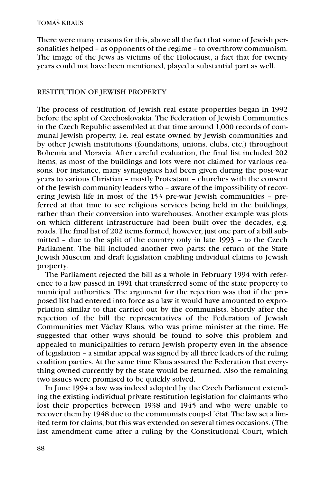There were many reasons for this, above all the fact that some of Jewish personalities helped – as opponents of the regime – to overthrow communism. The image of the Jews as victims of the Holocaust, a fact that for twenty years could not have been mentioned, played a substantial part as well.

# RESTITUTION OF JEWISH PROPERTY

The process of restitution of Jewish real estate properties began in 1992 before the split of Czechoslovakia. The Federation of Jewish Communities in the Czech Republic assembled at that time around 1,000 records of communal Jewish property, i.e. real estate owned by Jewish communities and by other Jewish institutions (foundations, unions, clubs, etc.) throughout Bohemia and Moravia. After careful evaluation, the final list included 202 items, as most of the buildings and lots were not claimed for various reasons. For instance, many synagogues had been given during the post-war years to various Christian – mostly Protestant – churches with the consent of the Jewish community leaders who – aware of the impossibility of recovering Jewish life in most of the 153 pre-war Jewish communities – preferred at that time to see religious services being held in the buildings, rather than their conversion into warehouses. Another example was plots on which different infrastructure had been built over the decades, e.g. roads. The final list of 202 items formed, however, just one part of a bill submitted – due to the split of the country only in late 1993 – to the Czech Parliament. The bill included another two parts: the return of the State Jewish Museum and draft legislation enabling individual claims to Jewish property.

The Parliament rejected the bill as a whole in February 1994 with reference to a law passed in 1991 that transferred some of the state property to municipal authorities. The argument for the rejection was that if the proposed list had entered into force as a law it would have amounted to expropriation similar to that carried out by the communists. Shortly after the rejection of the bill the representatives of the Federation of Jewish Communities met Václav Klaus, who was prime minister at the time. He suggested that other ways should be found to solve this problem and appealed to municipalities to return Jewish property even in the absence of legislation – a similar appeal was signed by all three leaders of the ruling coalition parties. At the same time Klaus assured the Federation that everything owned currently by the state would be returned. Also the remaining two issues were promised to be quickly solved.

In June 1994 a law was indeed adopted by the Czech Parliament extending the existing individual private restitution legislation for claimants who lost their properties between 1938 and 1945 and who were unable to recover them by 1948 due to the communists coup-d´état. The law set a limited term for claims, but this was extended on several times occasions. (The last amendment came after a ruling by the Constitutional Court, which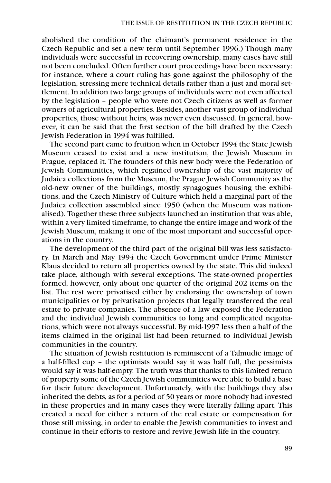abolished the condition of the claimant's permanent residence in the Czech Republic and set a new term until September 1996.) Though many individuals were successful in recovering ownership, many cases have still not been concluded. Often further court proceedings have been necessary: for instance, where a court ruling has gone against the philosophy of the legislation, stressing mere technical details rather than a just and moral settlement. In addition two large groups of individuals were not even affected by the legislation – people who were not Czech citizens as well as former owners of agricultural properties. Besides, another vast group of individual properties, those without heirs, was never even discussed. In general, however, it can be said that the first section of the bill drafted by the Czech Jewish Federation in 1994 was fulfilled.

The second part came to fruition when in October 1994 the State Jewish Museum ceased to exist and a new institution, the Jewish Museum in Prague, replaced it. The founders of this new body were the Federation of Jewish Communities, which regained ownership of the vast majority of Judaica collections from the Museum, the Prague Jewish Community as the old-new owner of the buildings, mostly synagogues housing the exhibitions, and the Czech Ministry of Culture which held a marginal part of the Judaica collection assembled since 1950 (when the Museum was nationalised). Together these three subjects launched an institution that was able, within a very limited timeframe, to change the entire image and work of the Jewish Museum, making it one of the most important and successful operations in the country.

The development of the third part of the original bill was less satisfactory. In March and May 1994 the Czech Government under Prime Minister Klaus decided to return all properties owned by the state. This did indeed take place, although with several exceptions. The state-owned properties formed, however, only about one quarter of the original 202 items on the list. The rest were privatised either by endorsing the ownership of town municipalities or by privatisation projects that legally transferred the real estate to private companies. The absence of a law exposed the Federation and the individual Jewish communities to long and complicated negotiations, which were not always successful. By mid-1997 less then a half of the items claimed in the original list had been returned to individual Jewish communities in the country.

The situation of Jewish restitution is reminiscent of a Talmudic image of a half-filled cup – the optimists would say it was half full, the pessimists would say it was half-empty. The truth was that thanks to this limited return of property some of the Czech Jewish communities were able to build a base for their future development. Unfortunately, with the buildings they also inherited the debts, as for a period of 50 years or more nobody had invested in these properties and in many cases they were literally falling apart. This created a need for either a return of the real estate or compensation for those still missing, in order to enable the Jewish communities to invest and continue in their efforts to restore and revive Jewish life in the country.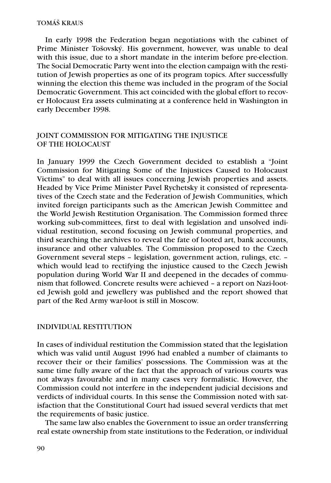#### TOMÁŠ KRAUS

In early 1998 the Federation began negotiations with the cabinet of Prime Minister Tošovský. His government, however, was unable to deal with this issue, due to a short mandate in the interim before pre-election. The Social Democratic Party went into the election campaign with the restitution of Jewish properties as one of its program topics. After successfully winning the election this theme was included in the program of the Social Democratic Government. This act coincided with the global effort to recover Holocaust Era assets culminating at a conference held in Washington in early December 1998.

## JOINT COMMISSION FOR MITIGATING THE INJUSTICE OF THE HOLOCAUST

In January 1999 the Czech Government decided to establish a "Joint Commission for Mitigating Some of the Injustices Caused to Holocaust Victims" to deal with all issues concerning Jewish properties and assets. Headed by Vice Prime Minister Pavel Rychetsky it consisted of representatives of the Czech state and the Federation of Jewish Communities, which invited foreign participants such as the American Jewish Committee and the World Jewish Restitution Organisation. The Commission formed three working sub-committees, first to deal with legislation and unsolved individual restitution, second focusing on Jewish communal properties, and third searching the archives to reveal the fate of looted art, bank accounts, insurance and other valuables. The Commission proposed to the Czech Government several steps – legislation, government action, rulings, etc. – which would lead to rectifying the injustice caused to the Czech Jewish population during World War II and deepened in the decades of communism that followed. Concrete results were achieved – a report on Nazi-looted Jewish gold and jewellery was published and the report showed that part of the Red Army war-loot is still in Moscow.

### INDIVIDUAL RESTITUTION

In cases of individual restitution the Commission stated that the legislation which was valid until August 1996 had enabled a number of claimants to recover their or their families' possessions. The Commission was at the same time fully aware of the fact that the approach of various courts was not always favourable and in many cases very formalistic. However, the Commission could not interfere in the independent judicial decisions and verdicts of individual courts. In this sense the Commission noted with satisfaction that the Constitutional Court had issued several verdicts that met the requirements of basic justice.

The same law also enables the Government to issue an order transferring real estate ownership from state institutions to the Federation, or individual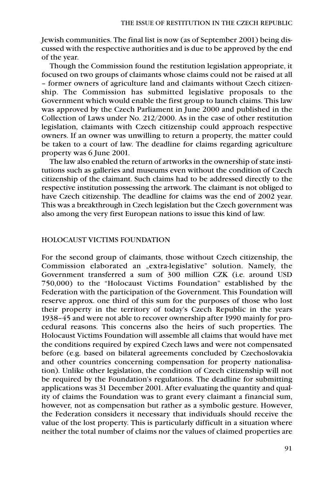Jewish communities. The final list is now (as of September 2001) being discussed with the respective authorities and is due to be approved by the end of the year.

Though the Commission found the restitution legislation appropriate, it focused on two groups of claimants whose claims could not be raised at all – former owners of agriculture land and claimants without Czech citizenship. The Commission has submitted legislative proposals to the Government which would enable the first group to launch claims. This law was approved by the Czech Parliament in June 2000 and published in the Collection of Laws under No. 212/2000. As in the case of other restitution legislation, claimants with Czech citizenship could approach respective owners. If an owner was unwilling to return a property, the matter could be taken to a court of law. The deadline for claims regarding agriculture property was 6 June 2001.

The law also enabled the return of artworks in the ownership of state institutions such as galleries and museums even without the condition of Czech citizenship of the claimant. Such claims had to be addressed directly to the respective institution possessing the artwork. The claimant is not obliged to have Czech citizenship. The deadline for claims was the end of 2002 year. This was a breakthrough in Czech legislation but the Czech government was also among the very first European nations to issue this kind of law.

### HOLOCAUST VICTIMS FOUNDATION

For the second group of claimants, those without Czech citizenship, the Commission elaborated an "extra-legislative" solution. Namely, the Government transferred a sum of 300 million CZK (i.e. around USD 750,000) to the "Holocaust Victims Foundation" established by the Federation with the participation of the Government. This Foundation will reserve approx. one third of this sum for the purposes of those who lost their property in the territory of today's Czech Republic in the years 1938–45 and were not able to recover ownership after 1990 mainly for procedural reasons. This concerns also the heirs of such properties. The Holocaust Victims Foundation will assemble all claims that would have met the conditions required by expired Czech laws and were not compensated before (e.g. based on bilateral agreements concluded by Czechoslovakia and other countries concerning compensation for property nationalisation). Unlike other legislation, the condition of Czech citizenship will not be required by the Foundation's regulations. The deadline for submitting applications was 31 December 2001. After evaluating the quantity and quality of claims the Foundation was to grant every claimant a financial sum, however, not as compensation but rather as a symbolic gesture. However, the Federation considers it necessary that individuals should receive the value of the lost property. This is particularly difficult in a situation where neither the total number of claims nor the values of claimed properties are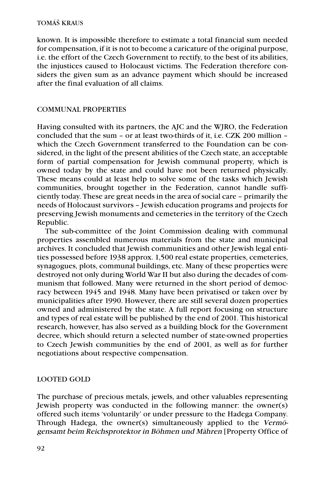known. It is impossible therefore to estimate a total financial sum needed for compensation, if it is not to become a caricature of the original purpose, i.e. the effort of the Czech Government to rectify, to the best of its abilities, the injustices caused to Holocaust victims. The Federation therefore considers the given sum as an advance payment which should be increased after the final evaluation of all claims.

#### COMMUNAL PROPERTIES

Having consulted with its partners, the AJC and the WJRO, the Federation concluded that the sum – or at least two-thirds of it, i.e. CZK 200 million – which the Czech Government transferred to the Foundation can be considered, in the light of the present abilities of the Czech state, an acceptable form of partial compensation for Jewish communal property, which is owned today by the state and could have not been returned physically. These means could at least help to solve some of the tasks which Jewish communities, brought together in the Federation, cannot handle sufficiently today. These are great needs in the area of social care – primarily the needs of Holocaust survivors – Jewish education programs and projects for preserving Jewish monuments and cemeteries in the territory of the Czech Republic.

The sub-committee of the Joint Commission dealing with communal properties assembled numerous materials from the state and municipal archives. It concluded that Jewish communities and other Jewish legal entities possessed before 1938 approx. 1,500 real estate properties, cemeteries, synagogues, plots, communal buildings, etc. Many of these properties were destroyed not only during World War II but also during the decades of communism that followed. Many were returned in the short period of democracy between 1945 and 1948. Many have been privatised or taken over by municipalities after 1990. However, there are still several dozen properties owned and administered by the state. A full report focusing on structure and types of real estate will be published by the end of 2001. This historical research, however, has also served as a building block for the Government decree, which should return a selected number of state-owned properties to Czech Jewish communities by the end of 2001, as well as for further negotiations about respective compensation.

### LOOTED GOLD

The purchase of precious metals, jewels, and other valuables representing Jewish property was conducted in the following manner: the owner(s) offered such items 'voluntarily' or under pressure to the Hadega Company. Through Hadega, the owner(s) simultaneously applied to the Vermögensamt beim Reichsprotektor in Böhmen und Mähren [Property Office of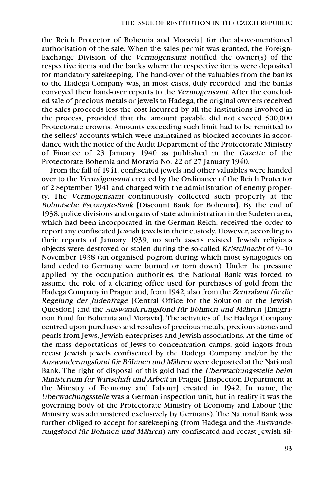the Reich Protector of Bohemia and Moravia] for the above-mentioned authorisation of the sale. When the sales permit was granted, the Foreign-Exchange Division of the Vermögensamt notified the owner(s) of the respective items and the banks where the respective items were deposited for mandatory safekeeping. The hand-over of the valuables from the banks to the Hadega Company was, in most cases, duly recorded, and the banks conveyed their hand-over reports to the Vermögensamt. After the concluded sale of precious metals or jewels to Hadega, the original owners received the sales proceeds less the cost incurred by all the institutions involved in the process, provided that the amount payable did not exceed 500,000 Protectorate crowns. Amounts exceeding such limit had to be remitted to the sellers' accounts which were maintained as blocked accounts in accordance with the notice of the Audit Department of the Protectorate Ministry of Finance of 23 January 1940 as published in the Gazette of the Protectorate Bohemia and Moravia No. 22 of 27 January 1940.

From the fall of 1941, confiscated jewels and other valuables were handed over to the Vermögensamt created by the Ordinance of the Reich Protector of 2 September 1941 and charged with the administration of enemy property. The Vermögensamt continuously collected such property at the Böhmische Escompte-Bank [Discount Bank for Bohemia]. By the end of 1938, police divisions and organs of state administration in the Sudeten area, which had been incorporated in the German Reich, received the order to report any confiscated Jewish jewels in their custody. However, according to their reports of January 1939, no such assets existed. Jewish religious objects were destroyed or stolen during the so-called Kristallnacht of 9–10 November 1938 (an organised pogrom during which most synagogues on land ceded to Germany were burned or torn down). Under the pressure applied by the occupation authorities, the National Bank was forced to assume the role of a clearing office used for purchases of gold from the Hadega Company in Prague and, from 1942, also from the Zentralamt für die Regelung der Judenfrage [Central Office for the Solution of the Jewish Question] and the Auswanderungsfond für Böhmen und Mähren [Emigration Fund for Bohemia and Moravia]. The activities of the Hadega Company centred upon purchases and re-sales of precious metals, precious stones and pearls from Jews, Jewish enterprises and Jewish associations. At the time of the mass deportations of Jews to concentration camps, gold ingots from recast Jewish jewels confiscated by the Hadega Company and/or by the Auswanderungsfond für Böhmen und Mähren were deposited at the National Bank. The right of disposal of this gold had the Überwachungsstelle beim Ministerium für Wirtschaft und Arbeit in Prague [Inspection Department at the Ministry of Economy and Labour] created in 1942. In name, the Überwachungsstelle was a German inspection unit, but in reality it was the governing body of the Protectorate Ministry of Economy and Labour (the Ministry was administered exclusively by Germans). The National Bank was further obliged to accept for safekeeping (from Hadega and the Auswanderungsfond für Böhmen und Mähren) any confiscated and recast Jewish sil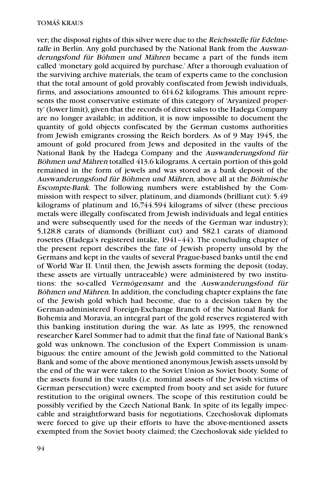ver; the disposal rights of this silver were due to the Reichsstelle für Edelmetalle in Berlin. Any gold purchased by the National Bank from the Auswanderungsfond für Böhmen und Mähren became a part of the funds item called 'monetary gold acquired by purchase.' After a thorough evaluation of the surviving archive materials, the team of experts came to the conclusion that the total amount of gold provably confiscated from Jewish individuals, firms, and associations amounted to 614.62 kilograms. This amount represents the most conservative estimate of this category of 'Aryanized property' (lower limit), given that the records of direct sales to the Hadega Company are no longer available; in addition, it is now impossible to document the quantity of gold objects confiscated by the German customs authorities from Jewish emigrants crossing the Reich borders. As of 9 May 1945, the amount of gold procured from Jews and deposited in the vaults of the National Bank by the Hadega Company and the Auswanderungsfond für Böhmen und Mähren totalled 413.6 kilograms. A certain portion of this gold remained in the form of jewels and was stored as a bank deposit of the Auswanderungsfond für Böhmen und Mähren, above all at the Böhmische Escompte-Bank. The following numbers were established by the Commission with respect to silver, platinum, and diamonds (brilliant cut): 5.49 kilograms of platinum and 16,744.594 kilograms of silver (these precious metals were illegally confiscated from Jewish individuals and legal entities and were subsequently used for the needs of the German war industry); 5,128.8 carats of diamonds (brilliant cut) and 582.1 carats of diamond rosettes (Hadega's registered intake, 1941–44). The concluding chapter of the present report describes the fate of Jewish property unsold by the Germans and kept in the vaults of several Prague-based banks until the end of World War II. Until then, the Jewish assets forming the deposit (today, these assets are virtually untraceable) were administered by two institutions: the so-called Vermögensamt and the Auswanderungsfond für Böhmen und Mähren. In addition, the concluding chapter explains the fate of the Jewish gold which had become, due to a decision taken by the German-administered Foreign-Exchange Branch of the National Bank for Bohemia and Moravia, an integral part of the gold reserves registered with this banking institution during the war. As late as 1995, the renowned researcher Karel Sommer had to admit that the final fate of National Bank's gold was unknown. The conclusion of the Expert Commission is unambiguous: the entire amount of the Jewish gold committed to the National Bank and some of the above mentioned anonymous Jewish assets unsold by the end of the war were taken to the Soviet Union as Soviet booty. Some of the assets found in the vaults (i.e. nominal assets of the Jewish victims of German persecution) were exempted from booty and set aside for future restitution to the original owners. The scope of this restitution could be possibly verified by the Czech National Bank. In spite of its legally impeccable and straightforward basis for negotiations, Czechoslovak diplomats were forced to give up their efforts to have the above-mentioned assets exempted from the Soviet booty claimed; the Czechoslovak side yielded to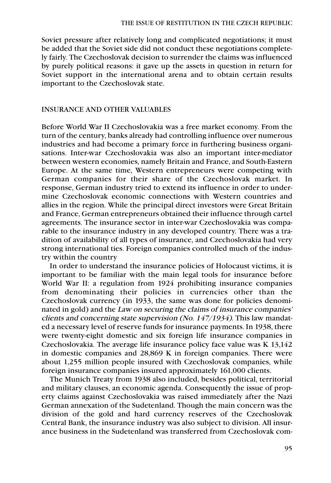Soviet pressure after relatively long and complicated negotiations; it must be added that the Soviet side did not conduct these negotiations completely fairly. The Czechoslovak decision to surrender the claims was influenced by purely political reasons: it gave up the assets in question in return for Soviet support in the international arena and to obtain certain results important to the Czechoslovak state.

#### INSURANCE AND OTHER VALUABLES

Before World War II Czechoslovakia was a free market economy. From the turn of the century, banks already had controlling influence over numerous industries and had become a primary force in furthering business organisations. Inter-war Czechoslovakia was also an important inter-mediator between western economies, namely Britain and France, and South-Eastern Europe. At the same time, Western entrepreneurs were competing with German companies for their share of the Czechoslovak market. In response, German industry tried to extend its influence in order to undermine Czechoslovak economic connections with Western countries and allies in the region. While the principal direct investors were Great Britain and France, German entrepreneurs obtained their influence through cartel agreements. The insurance sector in inter-war Czechoslovakia was comparable to the insurance industry in any developed country. There was a tradition of availability of all types of insurance, and Czechoslovakia had very strong international ties. Foreign companies controlled much of the industry within the country

In order to understand the insurance policies of Holocaust victims, it is important to be familiar with the main legal tools for insurance before World War II: a regulation from 1924 prohibiting insurance companies from denominating their policies in currencies other than the Czechoslovak currency (in 1933, the same was done for policies denominated in gold) and the Law on securing the claims of insurance companies' clients and concerning state supervision (No. 147/1934). This law mandated a necessary level of reserve funds for insurance payments. In 1938, there were twenty-eight domestic and six foreign life insurance companies in Czechoslovakia. The average life insurance policy face value was K 13,142 in domestic companies and 28,869 K in foreign companies. There were about 1,255 million people insured with Czechoslovak companies, while foreign insurance companies insured approximately 161,000 clients.

The Munich Treaty from 1938 also included, besides political, territorial and military clauses, an economic agenda. Consequently the issue of property claims against Czechoslovakia was raised immediately after the Nazi German annexation of the Sudetenland. Though the main concern was the division of the gold and hard currency reserves of the Czechoslovak Central Bank, the insurance industry was also subject to division. All insurance business in the Sudetenland was transferred from Czechoslovak com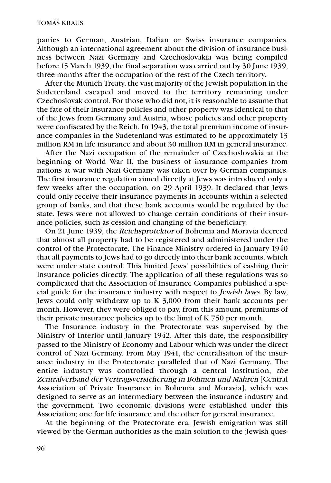panies to German, Austrian, Italian or Swiss insurance companies. Although an international agreement about the division of insurance business between Nazi Germany and Czechoslovakia was being compiled before 15 March 1939, the final separation was carried out by 30 June 1939, three months after the occupation of the rest of the Czech territory.

After the Munich Treaty, the vast majority of the Jewish population in the Sudetenland escaped and moved to the territory remaining under Czechoslovak control. For those who did not, it is reasonable to assume that the fate of their insurance policies and other property was identical to that of the Jews from Germany and Austria, whose policies and other property were confiscated by the Reich. In 1943, the total premium income of insurance companies in the Sudetenland was estimated to be approximately 13 million RM in life insurance and about 30 million RM in general insurance.

After the Nazi occupation of the remainder of Czechoslovakia at the beginning of World War II, the business of insurance companies from nations at war with Nazi Germany was taken over by German companies. The first insurance regulation aimed directly at Jews was introduced only a few weeks after the occupation, on 29 April 1939. It declared that Jews could only receive their insurance payments in accounts within a selected group of banks, and that these bank accounts would be regulated by the state. Jews were not allowed to change certain conditions of their insurance policies, such as cession and changing of the beneficiary.

On 21 June 1939, the Reichsprotektor of Bohemia and Moravia decreed that almost all property had to be registered and administered under the control of the Protectorate. The Finance Ministry ordered in January 1940 that all payments to Jews had to go directly into their bank accounts, which were under state control. This limited Jews' possibilities of cashing their insurance policies directly. The application of all these regulations was so complicated that the Association of Insurance Companies published a special guide for the insurance industry with respect to Jewish laws. By law, Jews could only withdraw up to K 3,000 from their bank accounts per month. However, they were obliged to pay, from this amount, premiums of their private insurance policies up to the limit of K 750 per month.

The Insurance industry in the Protectorate was supervised by the Ministry of Interior until January 1942. After this date, the responsibility passed to the Ministry of Economy and Labour which was under the direct control of Nazi Germany. From May 1941, the centralisation of the insurance industry in the Protectorate paralleled that of Nazi Germany. The entire industry was controlled through a central institution, the Zentralverband der Vertragsversicherung in Böhmen und Mähren [Central Association of Private Insurance in Bohemia and Moravia], which was designed to serve as an intermediary between the insurance industry and the government. Two economic divisions were established under this Association; one for life insurance and the other for general insurance.

At the beginning of the Protectorate era, Jewish emigration was still viewed by the German authorities as the main solution to the 'Jewish ques-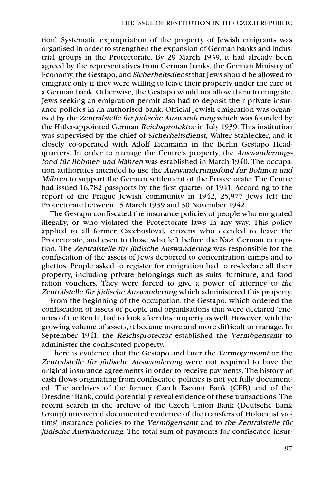tion'. Systematic expropriation of the property of Jewish emigrants was organised in order to strengthen the expansion of German banks and industrial groups in the Protectorate. By 29 March 1939, it had already been agreed by the representatives from German banks, the German Ministry of Economy, the Gestapo, and Sicherheitsdienst that Jews should be allowed to emigrate only if they were willing to leave their property under the care of a German bank. Otherwise, the Gestapo would not allow them to emigrate. Jews seeking an emigration permit also had to deposit their private insurance policies in an authorised bank. Official Jewish emigration was organised by the Zentralstelle für jüdische Auswanderung which was founded by the Hitler-appointed German Reichsprotektor in July 1939. This institution was supervised by the chief of Sicherheitsdienst, Walter Stahlecker, and it closely co-operated with Adolf Eichmann in the Berlin Gestapo Headquarters. In order to manage the Centre's property, the Auswanderungsfond für Böhmen und Mähren was established in March 1940. The occupation authorities intended to use the Auswanderungsfond für Böhmen und Mähren to support the German settlement of the Protectorate. The Centre had issued 16,782 passports by the first quarter of 1941. According to the report of the Prague Jewish community in 1942, 25,977 Jews left the Protectorate between 15 March 1939 and 30 November 1942.

The Gestapo confiscated the insurance policies of people who emigrated illegally, or who violated the Protectorate laws in any way. This policy applied to all former Czechoslovak citizens who decided to leave the Protectorate, and even to those who left before the Nazi German occupation. The Zentralstelle für jüdische Auswanderung was responsible for the confiscation of the assets of Jews deported to concentration camps and to ghettos. People asked to register for emigration had to re-declare all their property, including private belongings such as suits, furniture, and food ration vouchers. They were forced to give a power of attorney to the Zentralstelle für jüdische Auswanderung which administered this property.

From the beginning of the occupation, the Gestapo, which ordered the confiscation of assets of people and organisations that were declared 'enemies of the Reich', had to look after this property as well. However, with the growing volume of assets, it became more and more difficult to manage. In September 1941, the Reichsprotector established the Vermögensamt to administer the confiscated property.

There is evidence that the Gestapo and later the Vermögensamt or the Zentralstelle für jüdische Auswanderung were not required to have the original insurance agreements in order to receive payments. The history of cash flows originating from confiscated policies is not yet fully documented. The archives of the former Czech Escomt Bank (CEB) and of the Dresdner Bank, could potentially reveal evidence of these transactions. The recent search in the archive of the Czech Union Bank (Deutsche Bank Group) uncovered documented evidence of the transfers of Holocaust victims' insurance policies to the Vermögensamt and to the Zentralstelle für jüdische Auswanderung. The total sum of payments for confiscated insur